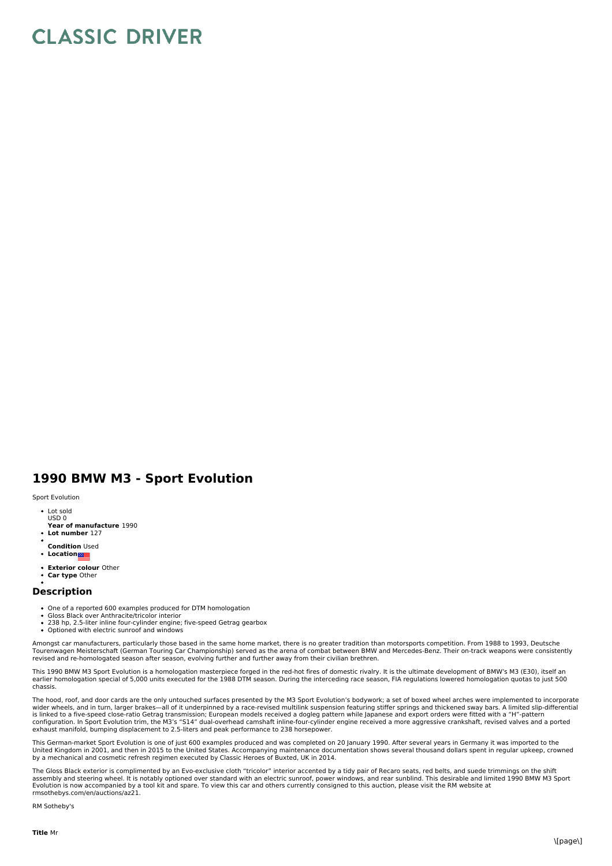## **CLASSIC DRIVER**

## **1990 BMW M3 - Sport Evolution**

## Sport Evolution

- Lot sold USD 0
- **Year of manufacture** 1990
- **Lot number** 127
- **Condition** Used
- **Location**
- **Exterior colour** Other
- **Car type** Other

## **Description**

- One of a reported 600 examples produced for DTM homologation<br>Gloss Black over Anthracite/tricolor interior
- 
- 238 hp, 2.5-liter inline four-cylinder engine; five-speed Getrag gearbox • Optioned with electric sunroof and windows
- Amongst car manufacturers, particularly those based in the same home market, there is no greater tradition than motorsports competition. From 1988 to 1993, Deutsche Tourenwagen Meisterschaft (German Touring Car Championship) served as the arena of combat between BMW and Mercedes-Benz. Their on-track weapons were consistently revised and re-homologated season after season, evolving further and further away from their civilian brethren.

This 1990 BMW M3 Sport Evolution is a homologation masterpiece forged in the red-hot fires of domestic rivalry. It is the ultimate development of BMW's M3 (E30), itself an<br>earlier homologation special of 5,000 units execut chassis.

The hood, roof, and door cards are the only untouched surfaces presented by the M3 Sport Evolution's bodywork; a set of boxed wheel arches were implemented to incorporate<br>wider wheels, and in turn, larger brakes—all of it is linked to a five-speed close-ratio Getrag transmission; European models received a dogleg pattern while Japanese and export orders were fitted with a "H"-pattern<br>configuration. In Sport Evolution trim, the M3's "S14" du exhaust manifold, bumping displacement to 2.5-liters and peak performance to 238 horsepower.

This German-market Sport Evolution is one of just 600 examples produced and was completed on 20 January 1990. After several years in Germany it was imported to the United Kingdom in 2001, and then in 2015 to the United States. Accompanying maintenance documentation shows several thousand dollars spent in regular upkeep, crowned<br>by a mechanical and cosmetic refresh regimen executed by

The Gloss Black exterior is complimented by an Evo-exclusive cloth "tricolor" interior accented by a tidy pair of Recaro seats, red belts, and suede trimmings on the shift assembly and steering wheel. It is notably optioned over standard with an electric sunroof, power windows, and rear sunblind. This desirable and limited 1990 BMW M3 Sport<br>Evolution is now accompanied by a tool kit and spar rmsothebys.com/en/auctions/az21.

RM Sotheby's